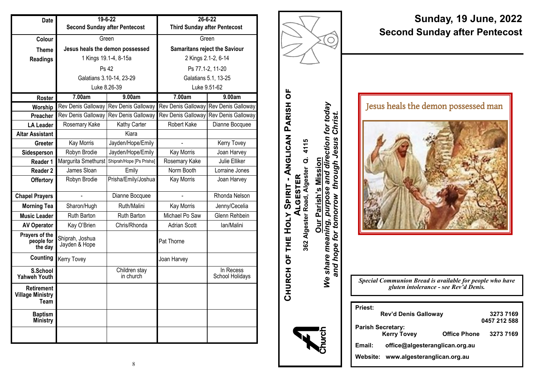| Date                                                 | $19 - 6 - 22$                        |                            | $26 - 6 - 22$                        |                              |
|------------------------------------------------------|--------------------------------------|----------------------------|--------------------------------------|------------------------------|
|                                                      | <b>Second Sunday after Pentecost</b> |                            | <b>Third Sunday after Pentecost</b>  |                              |
| Colour                                               | Green                                |                            | Green                                |                              |
| <b>Theme</b>                                         | Jesus heals the demon possessed      |                            | <b>Samaritans reject the Saviour</b> |                              |
| <b>Readings</b>                                      |                                      | 1 Kings 19.1-4, 8-15a      | 2 Kings 2.1-2, 6-14                  |                              |
|                                                      | Ps 42                                |                            | Ps 77.1-2, 11-20                     |                              |
|                                                      | Galatians 3.10-14, 23-29             |                            | Galatians 5.1, 13-25                 |                              |
|                                                      | Luke 8.26-39                         |                            | Luke 9.51-62                         |                              |
| <b>Roster</b>                                        | 7.00am                               | 9.00am                     | 7.00am                               | 9.00am                       |
| Worship                                              | Rev Denis Galloway                   | Rev Denis Galloway         | Rev Denis Galloway                   | Rev Denis Galloway           |
| Preacher                                             | Rev Denis Galloway                   | Rev Denis Galloway         | Rev Denis Galloway                   | Rev Denis Galloway           |
| <b>LA Leader</b>                                     | Rosemary Kake                        | Kathy Carter               | Robert Kake                          | Dianne Bocquee               |
| <b>Altar Assistant</b>                               |                                      | Kiara                      |                                      |                              |
| <b>Greeter</b>                                       | Kay Morris                           | Jayden/Hope/Emily          |                                      | Kerry Tovey                  |
| Sidesperson                                          | Robyn Brodie                         | Jayden/Hope/Emily          | <b>Kay Morris</b>                    | Joan Harvey                  |
| Reader 1                                             | Margurita Smethurst                  | Shiprah/Hope [Ps Prisha]   | Rosemary Kake                        | Julie Elliker                |
| <b>Reader 2</b>                                      | James Sloan                          | Emily                      | Norm Booth                           | Lorraine Jones               |
| <b>Offertory</b>                                     | Robyn Brodie                         | Prisha/Emily/Joshua        | Kay Morris                           | Joan Harvey                  |
| <b>Chapel Prayers</b>                                |                                      | Dianne Bocquee             |                                      | Rhonda Nelson                |
| <b>Morning Tea</b>                                   | Sharon/Hugh                          | Ruth/Malini                | <b>Kay Morris</b>                    | Jenny/Cecelia                |
| <b>Music Leader</b>                                  | <b>Ruth Barton</b>                   | <b>Ruth Barton</b>         | Michael Po Saw                       | Glenn Rehbein                |
| <b>AV Operator</b>                                   | Kay O'Brien                          | Chris/Rhonda               | <b>Adrian Scott</b>                  | lan/Malini                   |
| Prayers of the<br>people for<br>the day              | Shiprah, Joshua<br>Jayden & Hope     |                            | Pat Thorne                           |                              |
| Counting                                             | <b>Kerry Tovey</b>                   |                            | Joan Harvey                          |                              |
| S.School<br><b>Yahweh Youth</b>                      |                                      | Children stay<br>in church |                                      | In Recess<br>School Holidays |
| <b>Retirement</b><br><b>Village Ministry</b><br>Team |                                      |                            |                                      |                              |
| <b>Baptism</b><br>Ministry                           |                                      |                            |                                      |                              |
|                                                      |                                      |                            |                                      |                              |



# **Sunday, 19 June, 2022 Second Sunday after Pentecost**

Jesus heals the demon possessed man



*Special Communion Bread is available for people who have gluten intolerance - see Rev'd Denis.*

| <b>Priest:</b> |                                  |                     |              |
|----------------|----------------------------------|---------------------|--------------|
|                | Rev'd Denis Galloway             |                     | 3273 7169    |
|                |                                  |                     | 0457 212 588 |
|                | Parish Secretary:<br>Kerry Tovey | <b>Office Phone</b> | 3273 7169    |
| Email:         | office@algesteranglican.org.au   |                     |              |
| Website:       | www.algesteranglican.org.au      |                     |              |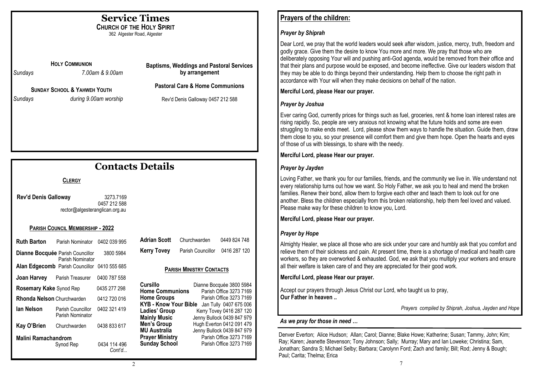# **Service Times**

**CHURCH OF THE HOLY SPIRIT** 362 Algester Road, Algester

**HOLY COMMUNION**

*Sundays 7.00am & 9.00am*

**SUNDAY SCHOOL & YAHWEH YOUTH** *Sundays during 9.00am worship* **Baptisms, Weddings and Pastoral Services by arrangement**

**Pastoral Care & Home Communions**

Rev'd Denis Galloway 0457 212 588

# **Contacts Details**

## **CLERGY**

**Rev'd Denis Galloway** 3273.7169 0457 212 588 rector@algesteranglican.org.au

#### **PARISH COUNCIL MEMBERSHIP - 2022**

| Ruth Barton                                                 | Parish Nominator                       | 0402 039 995 |
|-------------------------------------------------------------|----------------------------------------|--------------|
| <b>Dianne Bocquée</b> Parish Councillor                     | 3800 5984                              |              |
|                                                             | <b>Alan Edgecomb</b> Parish Councillor | 0410 555 685 |
|                                                             | <b>Joan Harvey</b> Parish Treasurer    | 0400 787 558 |
| <b>Rosemary Kake Synod Rep</b><br>0435 277 298              |                                        |              |
| <b>Rhonda Nelson</b> Churchwarden                           |                                        | 0412 720 016 |
| lan Nelson                                                  | Parish Councillor<br>Parish Nominator  | 0402 321 419 |
| Kay O'Brien                                                 | Churchwarden                           | 0438 833 617 |
| Malini Ramachandrom<br>0434 114 496<br>Synod Rep<br>Cont'd… |                                        |              |

| <b>Adrian Scott</b> | Churchwarden      | 0449 824 748 |
|---------------------|-------------------|--------------|
| <b>Kerry Tovey</b>  | Parish Councillor | 0416 287 120 |

#### **PARISH MINISTRY CONTACTS**

| Cursillo               | Dianne Bocquée 3800 5984                     |
|------------------------|----------------------------------------------|
| <b>Home Communions</b> | Parish Office 3273 7169                      |
| <b>Home Groups</b>     | Parish Office 3273 7169                      |
|                        | KYB - Know Your Bible Jan Tully 0407 675 006 |
| Ladies' Group          | Kerry Tovey 0416 287 120                     |
| <b>Mainly Music</b>    | Jenny Bullock 0439 847 979                   |
| Men's Group            | Hugh Everton 0412 091 479                    |
| MU Australia           | Jenny Bullock 0439 847 979                   |
| <b>Prayer Ministry</b> | Parish Office 3273 7169                      |
| <b>Sunday School</b>   | Parish Office 3273 7169                      |
|                        |                                              |

## **Prayers of the children:**

### *Prayer by Shiprah*

Dear Lord, we pray that the world leaders would seek after wisdom, justice, mercy, truth, freedom and godly grace. Give them the desire to know You more and more. We pray that those who are deliberately opposing Your will and pushing anti-God agenda, would be removed from their office and that their plans and purpose would be exposed, and become ineffective. Give our leaders wisdom that they may be able to do things beyond their understanding. Help them to choose the right path in accordance with Your will when they make decisions on behalf of the nation.

### **Merciful Lord, please Hear our prayer.**

### *Prayer by Joshua*

Ever caring God, currently prices for things such as fuel, groceries, rent & home loan interest rates are rising rapidly. So, people are very anxious not knowing what the future holds and some are even struggling to make ends meet. Lord, please show them ways to handle the situation. Guide them, draw them close to you, so your presence will comfort them and give them hope. Open the hearts and eyes of those of us with blessings, to share with the needy.

### **Merciful Lord, please Hear our prayer.**

### *Prayer by Jayden*

Loving Father, we thank you for our families, friends, and the community we live in. We understand not every relationship turns out how we want. So Holy Father, we ask you to heal and mend the broken families. Renew their bond, allow them to forgive each other and teach them to look out for one another. Bless the children especially from this broken relationship, help them feel loved and valued. Please make way for these children to know you, Lord.

**Merciful Lord, please Hear our prayer.**

## *Prayer by Hope*

Almighty Healer, we place all those who are sick under your care and humbly ask that you comfort and relieve them of their sickness and pain. At present time, there is a shortage of medical and health care workers, so they are overworked & exhausted. God, we ask that you multiply your workers and ensure all their welfare is taken care of and they are appreciated for their good work.

#### **Merciful Lord, please Hear our prayer.**

Accept our prayers through Jesus Christ our Lord, who taught us to pray, **Our Father in heaven ..**

*Prayers compiled by Shiprah, Joshua, Jayden and Hope* 

#### *As we pray for those in need …*

Denver Everton; Alice Hudson; Allan; Carol; Dianne; Blake Howe; Katherine; Susan; Tammy, John; Kim; Ray; Karen; Jeanette Stevenson; Tony Johnson; Sally; Murray; Mary and Ian Loweke; Christina; Sam, Jonathan; Sandra S; Michael Selby; Barbara; Carolynn Ford; Zach and family; Bill; Rod; Jenny & Bough; Paul; Carita; Thelma; Erica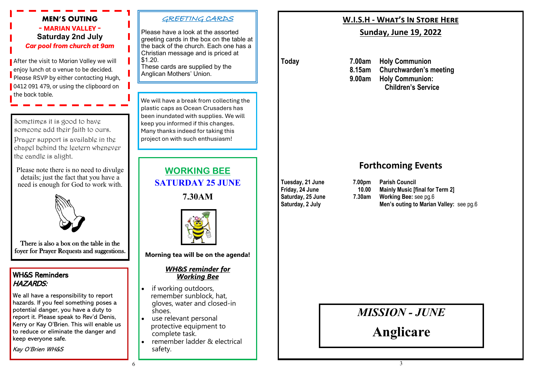## **MEN'S OUTING - MARIAN VALLEY - Saturday 2nd July** *Car pool from church at 9am*

After the visit to Marian Valley we will , enjoy lunch at a venue to be decided. Please RSVP by either contacting Hugh, 0412 091 479, or using the clipboard on the back table.

Sometimes it is good to have someone add their faith to ours.

Prayer support is available in the chapel behind the lectern whenever the candle is alight.

Please note there is no need to divulge details; just the fact that you have a need is enough for God to work with.



There is also a box on the table in the foyer for Prayer Requests and suggestions.

## WH&S Reminders HAZARDS:

We all have a responsibility to report hazards. If you feel something poses a potential danger, you have a duty to report it. Please speak to Rev'd Denis, Kerry or Kay O'Brien. This will enable us to reduce or eliminate the danger and keep everyone safe.

Kay O'Brien WH&S

#### GREETING CARDS

Please have a look at the assorted greeting cards in the box on the table at the back of the church. Each one has a Christian message and is priced at \$1.20.

These cards are supplied by the Anglican Mothers' Union.

We will have a break from collecting the plastic caps as Ocean Crusaders has been inundated with supplies. We will keep you informed if this changes. Many thanks indeed for taking this project on with such enthusiasm!

> **WORKING BEE SATURDAY 25 JUNE**

> > **7.30AM**



**Morning tea will be on the agenda!**

#### *WH&S reminder for Working Bee*

- if working outdoors, remember sunblock, hat, gloves, water and closed-in shoes.
- use relevant personal protective equipment to complete task.
- remember ladder & electrical safety.

## **W.I.S.H - What's In Store Here**

## **Sunday, June 19, 2022**

**Today 7.00am Holy Communion 8.15am Churchwarden's meeting 9.00am Holy Communion: Children's Service**

## **Forthcoming Events**

**Tuesday, 21 June 7.00pm Parish Council Friday, 24 June 10.00 Mainly Music [final for Term 2] 7.30am Working Bee: see pg.6 Saturday, 2 July Men's outing to Marian Valley:** see pg.6

*MISSION - JUNE*

**Anglicare**